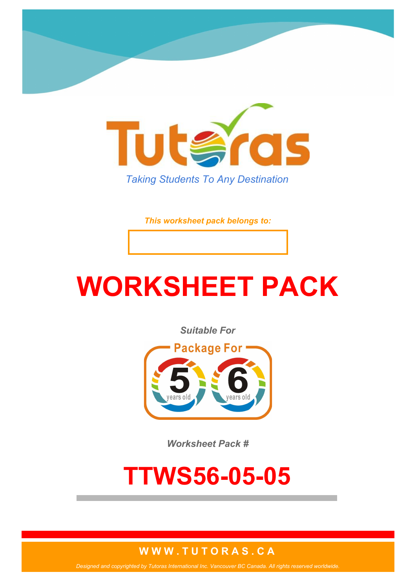

*This worksheet pack belongs to:*

# **WORKSHEET PACK**

*Suitable For*



*Worksheet Pack #*

## **TTWS56-05-05**

#### **W W W . T U T O R A S . C A**

*Designed and copyrighted by Tutoras International Inc. Vancouver BC Canada. All rights reserved worldwide.*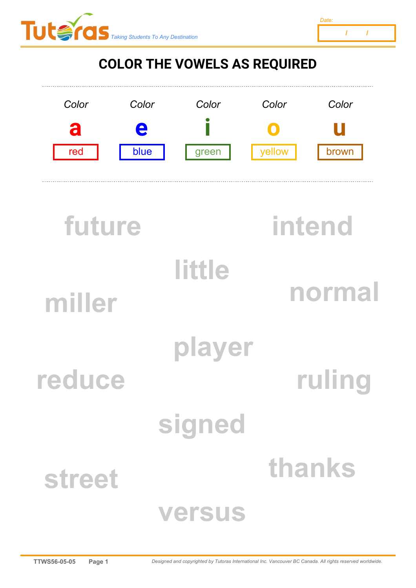



### **COLOR THE VOWELS AS REQUIRED**



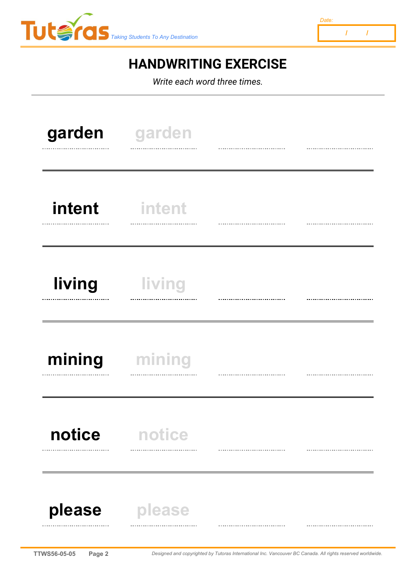



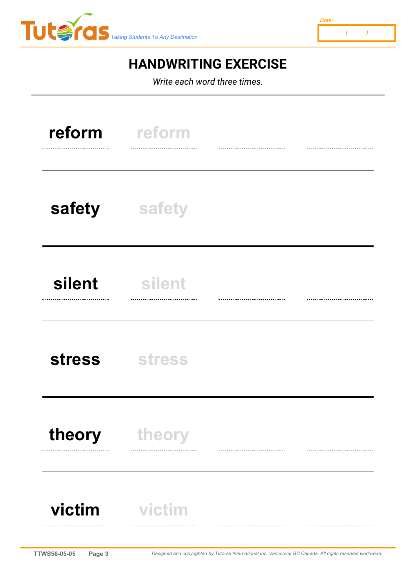



| reform<br>.   | reform        |  |
|---------------|---------------|--|
| safety        | safety        |  |
| silent<br>.   | silent        |  |
| <b>stress</b> | <b>stress</b> |  |
| theory        | theory        |  |
| victim        | victim<br>    |  |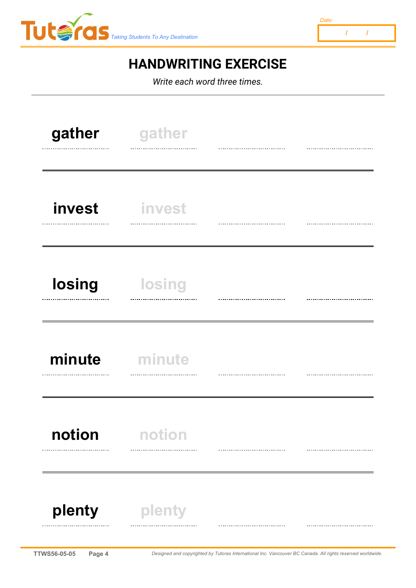



| gather      | gather        |  |
|-------------|---------------|--|
| invest<br>. | invest        |  |
| losing      | <b>losing</b> |  |
| minute      | minute        |  |
| notion<br>  | notion        |  |
| plenty      | plenty        |  |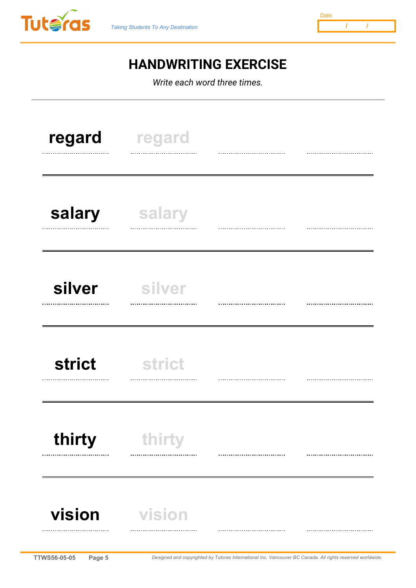



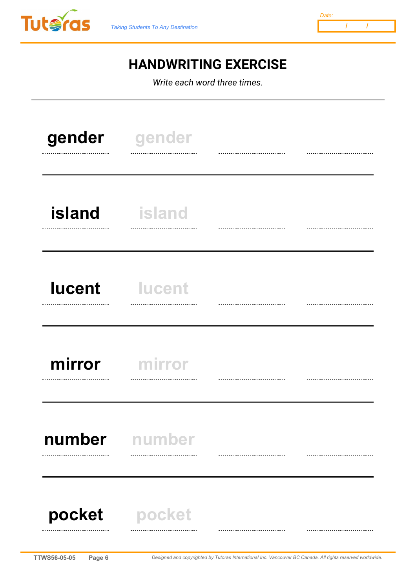